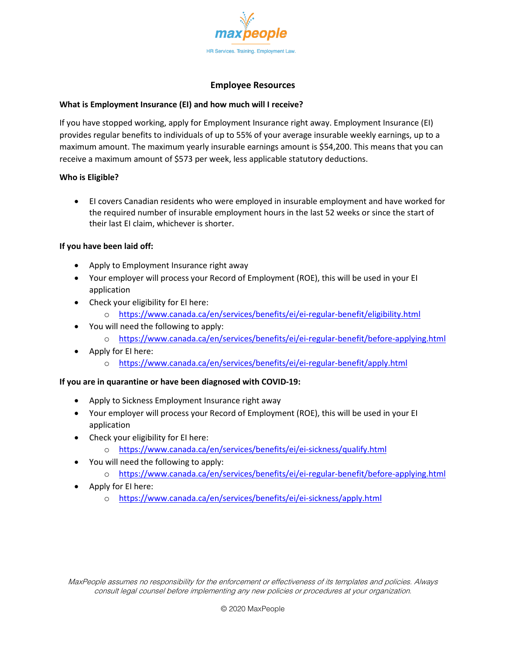

## **Employee Resources**

## **What is Employment Insurance (EI) and how much will I receive?**

If you have stopped working, apply for Employment Insurance right away. Employment Insurance (EI) provides regular benefits to individuals of up to 55% of your average insurable weekly earnings, up to a maximum amount. The maximum yearly insurable earnings amount is \$54,200. This means that you can receive a maximum amount of \$573 per week, less applicable statutory deductions.

## **Who is Eligible?**

• EI covers Canadian residents who were employed in insurable employment and have worked for the required number of insurable employment hours in the last 52 weeks or since the start of their last EI claim, whichever is shorter.

## **If you have been laid off:**

- Apply to Employment Insurance right away
- Your employer will process your Record of Employment (ROE), this will be used in your EI application
- Check your eligibility for EI here:
	- o <https://www.canada.ca/en/services/benefits/ei/ei-regular-benefit/eligibility.html>
- You will need the following to apply:
	- o <https://www.canada.ca/en/services/benefits/ei/ei-regular-benefit/before-applying.html>
- Apply for EI here:
	- o <https://www.canada.ca/en/services/benefits/ei/ei-regular-benefit/apply.html>

# **If you are in quarantine or have been diagnosed with COVID-19:**

- Apply to Sickness Employment Insurance right away
- Your employer will process your Record of Employment (ROE), this will be used in your EI application
- Check your eligibility for EI here:
	- o <https://www.canada.ca/en/services/benefits/ei/ei-sickness/qualify.html>
- You will need the following to apply:
	- o <https://www.canada.ca/en/services/benefits/ei/ei-regular-benefit/before-applying.html>
- Apply for EI here:
	- o <https://www.canada.ca/en/services/benefits/ei/ei-sickness/apply.html>

MaxPeople assumes no responsibility for the enforcement or effectiveness of its templates and policies. Always consult legal counsel before implementing any new policies or procedures at your organization.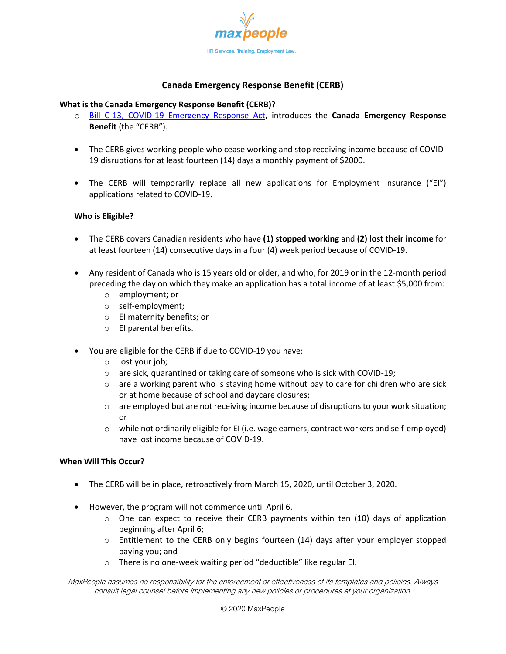

# **Canada Emergency Response Benefit (CERB)**

# **What is the Canada Emergency Response Benefit (CERB)?**

- o [Bill C-13, COVID-19 Emergency Response Act,](https://www.parl.ca/DocumentViewer/en/43-1/bill/C-13/royal-assent#ID0E0VC0AA) introduces the **Canada Emergency Response Benefit** (the "CERB").
- The CERB gives working people who cease working and stop receiving income because of COVID-19 disruptions for at least fourteen (14) days a monthly payment of \$2000.
- The CERB will temporarily replace all new applications for Employment Insurance ("EI") applications related to COVID-19.

# **Who is Eligible?**

- The CERB covers Canadian residents who have **(1) stopped working** and **(2) lost their income** for at least fourteen (14) consecutive days in a four (4) week period because of COVID-19.
- Any resident of Canada who is 15 years old or older, and who, for 2019 or in the 12-month period preceding the day on which they make an application has a total income of at least \$5,000 from:
	- o employment; or
	- o self-employment;
	- o EI maternity benefits; or
	- o EI parental benefits.
- You are eligible for the CERB if due to COVID-19 you have:
	- o lost your job;
	- $\circ$  are sick, quarantined or taking care of someone who is sick with COVID-19;
	- $\circ$  are a working parent who is staying home without pay to care for children who are sick or at home because of school and daycare closures;
	- $\circ$  are employed but are not receiving income because of disruptions to your work situation; or
	- $\circ$  while not ordinarily eligible for EI (i.e. wage earners, contract workers and self-employed) have lost income because of COVID-19.

# **When Will This Occur?**

- The CERB will be in place, retroactively from March 15, 2020, until October 3, 2020.
- However, the program will not commence until April 6.
	- $\circ$  One can expect to receive their CERB payments within ten (10) days of application beginning after April 6;
	- $\circ$  Entitlement to the CERB only begins fourteen (14) days after your employer stopped paying you; and
	- o There is no one-week waiting period "deductible" like regular EI.

MaxPeople assumes no responsibility for the enforcement or effectiveness of its templates and policies. Always consult legal counsel before implementing any new policies or procedures at your organization.